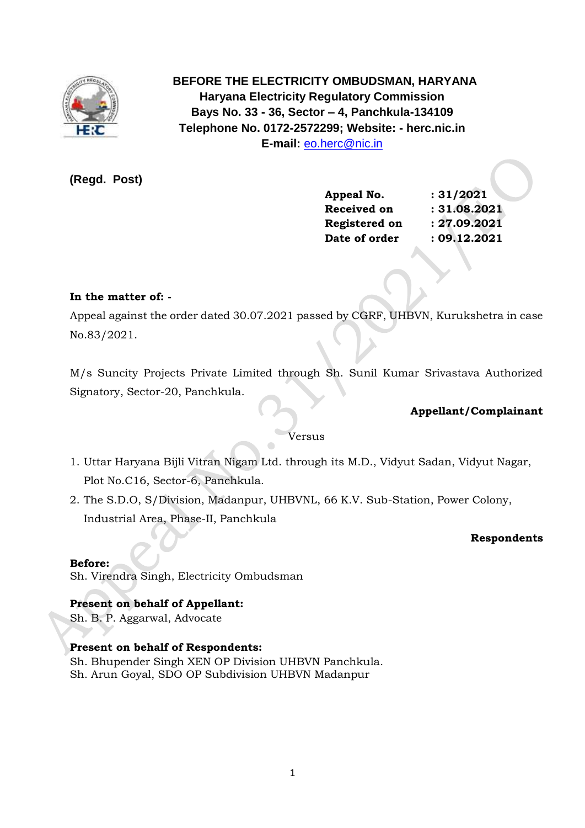

 **BEFORE THE ELECTRICITY OMBUDSMAN, HARYANA Haryana Electricity Regulatory Commission Bays No. 33 - 36, Sector – 4, Panchkula-134109 Telephone No. 0172-2572299; Website: - herc.nic.in E-mail:** [eo.herc@nic.in](mailto:eo.herc@nic.in)

**(Regd. Post)**

| Appeal No.    |  |
|---------------|--|
| Received on   |  |
| Registered on |  |
| Date of order |  |

**Appeal No. : 31/2021 Received on : 31.08.2021 Registered on : 27.09.2021 Date of order : 09.12.2021**

# **In the matter of: -**

Appeal against the order dated 30.07.2021 passed by CGRF, UHBVN, Kurukshetra in case No.83/2021.

M/s Suncity Projects Private Limited through Sh. Sunil Kumar Srivastava Authorized Signatory, Sector-20, Panchkula.

# **Appellant/Complainant**

## Versus

- 1. Uttar Haryana Bijli Vitran Nigam Ltd. through its M.D., Vidyut Sadan, Vidyut Nagar, Plot No.C16, Sector-6, Panchkula.
- 2. The S.D.O, S/Division, Madanpur, UHBVNL, 66 K.V. Sub-Station, Power Colony, Industrial Area, Phase-II, Panchkula

## **Respondents**

## **Before:**

Sh. Virendra Singh, Electricity Ombudsman

# **Present on behalf of Appellant:**

Sh. B. P. Aggarwal, Advocate

# **Present on behalf of Respondents:**

Sh. Bhupender Singh XEN OP Division UHBVN Panchkula. Sh. Arun Goyal, SDO OP Subdivision UHBVN Madanpur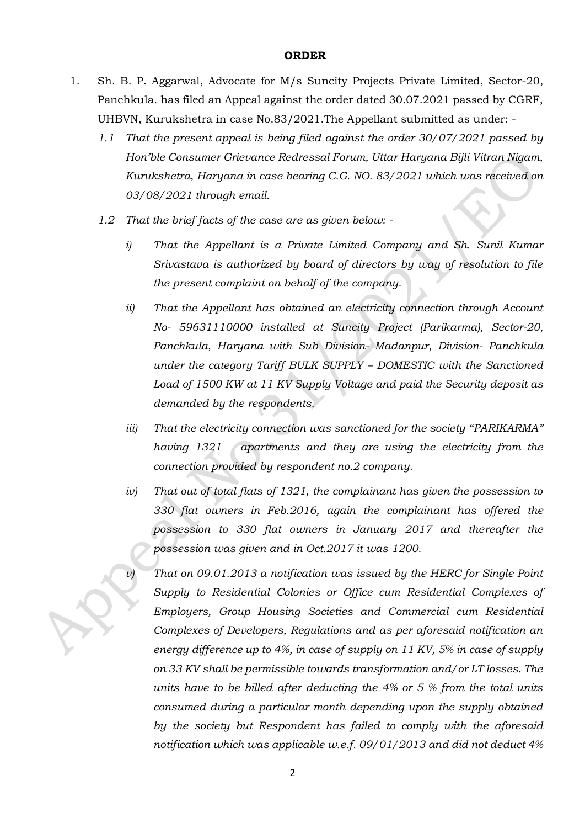### **ORDER**

- 1. Sh. B. P. Aggarwal, Advocate for M/s Suncity Projects Private Limited, Sector-20, Panchkula. has filed an Appeal against the order dated 30.07.2021 passed by CGRF, UHBVN, Kurukshetra in case No.83/2021.The Appellant submitted as under: -
	- *1.1 That the present appeal is being filed against the order 30/07/2021 passed by Hon'ble Consumer Grievance Redressal Forum, Uttar Haryana Bijli Vitran Nigam, Kurukshetra, Haryana in case bearing C.G. NO. 83/2021 which was received on 03/08/2021 through email.*
	- *1.2 That the brief facts of the case are as given below:* 
		- *i) That the Appellant is a Private Limited Company and Sh. Sunil Kumar Srivastava is authorized by board of directors by way of resolution to file the present complaint on behalf of the company.*
		- *ii) That the Appellant has obtained an electricity connection through Account No- 59631110000 installed at Suncity Project (Parikarma), Sector-20, Panchkula, Haryana with Sub Division- Madanpur, Division- Panchkula under the category Tariff BULK SUPPLY – DOMESTIC with the Sanctioned Load of 1500 KW at 11 KV Supply Voltage and paid the Security deposit as demanded by the respondents.*
		- *iii) That the electricity connection was sanctioned for the society "PARIKARMA" having 1321 apartments and they are using the electricity from the connection provided by respondent no.2 company.*
		- *iv) That out of total flats of 1321, the complainant has given the possession to 330 flat owners in Feb.2016, again the complainant has offered the possession to 330 flat owners in January 2017 and thereafter the possession was given and in Oct.2017 it was 1200.*
		- *v) That on 09.01.2013 a notification was issued by the HERC for Single Point Supply to Residential Colonies or Office cum Residential Complexes of Employers, Group Housing Societies and Commercial cum Residential Complexes of Developers, Regulations and as per aforesaid notification an energy difference up to 4%, in case of supply on 11 KV, 5% in case of supply on 33 KV shall be permissible towards transformation and/or LT losses. The units have to be billed after deducting the 4% or 5 % from the total units consumed during a particular month depending upon the supply obtained by the society but Respondent has failed to comply with the aforesaid notification which was applicable w.e.f. 09/01/2013 and did not deduct 4%*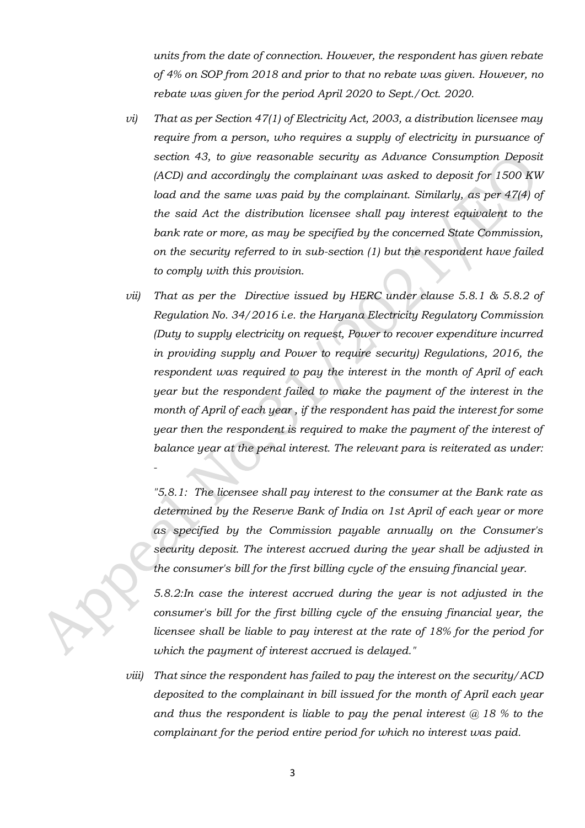*units from the date of connection. However, the respondent has given rebate of 4% on SOP from 2018 and prior to that no rebate was given. However, no rebate was given for the period April 2020 to Sept./Oct. 2020.*

- *vi) That as per Section 47(1) of Electricity Act, 2003, a distribution licensee may require from a person, who requires a supply of electricity in pursuance of section 43, to give reasonable security as Advance Consumption Deposit (ACD) and accordingly the complainant was asked to deposit for 1500 KW load and the same was paid by the complainant. Similarly, as per 47(4) of the said Act the distribution licensee shall pay interest equivalent to the bank rate or more, as may be specified by the concerned State Commission, on the security referred to in sub-section (1) but the respondent have failed to comply with this provision.*
- *vii) That as per the Directive issued by HERC under clause 5.8.1 & 5.8.2 of Regulation No. 34/2016 i.e. the Haryana Electricity Regulatory Commission (Duty to supply electricity on request, Power to recover expenditure incurred in providing supply and Power to require security) Regulations, 2016, the respondent was required to pay the interest in the month of April of each year but the respondent failed to make the payment of the interest in the month of April of each year , if the respondent has paid the interest for some year then the respondent is required to make the payment of the interest of balance year at the penal interest. The relevant para is reiterated as under:*

*"5.8.1: The licensee shall pay interest to the consumer at the Bank rate as determined by the Reserve Bank of India on 1st April of each year or more as specified by the Commission payable annually on the Consumer's security deposit. The interest accrued during the year shall be adjusted in the consumer's bill for the first billing cycle of the ensuing financial year.*

*5.8.2:In case the interest accrued during the year is not adjusted in the*  consumer's bill for the first billing cycle of the ensuing financial year, the *licensee shall be liable to pay interest at the rate of 18% for the period for which the payment of interest accrued is delayed."*

*viii) That since the respondent has failed to pay the interest on the security/ACD deposited to the complainant in bill issued for the month of April each year and thus the respondent is liable to pay the penal interest @ 18 % to the complainant for the period entire period for which no interest was paid.*

*-*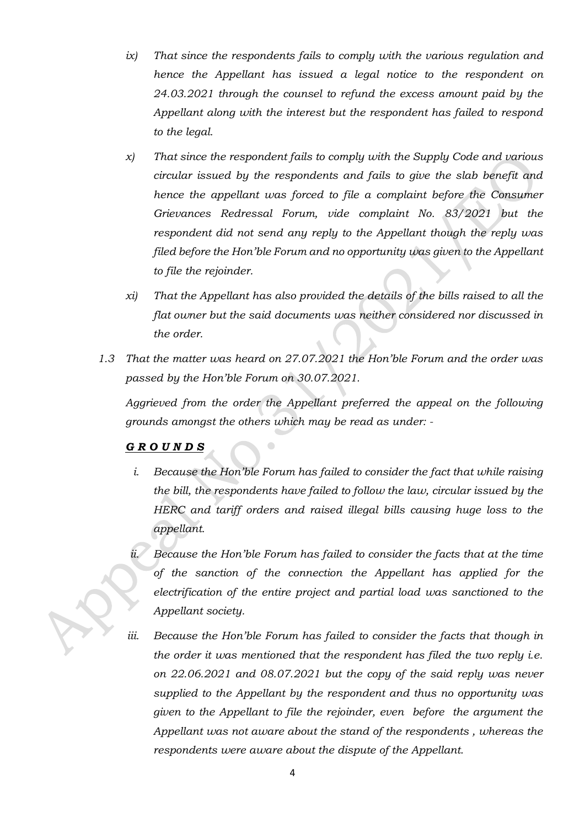- *ix) That since the respondents fails to comply with the various regulation and hence the Appellant has issued a legal notice to the respondent on 24.03.2021 through the counsel to refund the excess amount paid by the Appellant along with the interest but the respondent has failed to respond to the legal.*
- *x) That since the respondent fails to comply with the Supply Code and various circular issued by the respondents and fails to give the slab benefit and hence the appellant was forced to file a complaint before the Consumer Grievances Redressal Forum, vide complaint No. 83/2021 but the respondent did not send any reply to the Appellant though the reply was filed before the Hon'ble Forum and no opportunity was given to the Appellant to file the rejoinder.*
- *xi) That the Appellant has also provided the details of the bills raised to all the flat owner but the said documents was neither considered nor discussed in the order.*
- *1.3 That the matter was heard on 27.07.2021 the Hon'ble Forum and the order was passed by the Hon'ble Forum on 30.07.2021.*

*Aggrieved from the order the Appellant preferred the appeal on the following grounds amongst the others which may be read as under: -*

# *G R O U N D S*

- *i. Because the Hon'ble Forum has failed to consider the fact that while raising the bill, the respondents have failed to follow the law, circular issued by the HERC and tariff orders and raised illegal bills causing huge loss to the appellant.*
- *ii. Because the Hon'ble Forum has failed to consider the facts that at the time of the sanction of the connection the Appellant has applied for the electrification of the entire project and partial load was sanctioned to the Appellant society.*
- *iii. Because the Hon'ble Forum has failed to consider the facts that though in the order it was mentioned that the respondent has filed the two reply i.e. on 22.06.2021 and 08.07.2021 but the copy of the said reply was never supplied to the Appellant by the respondent and thus no opportunity was given to the Appellant to file the rejoinder, even before the argument the Appellant was not aware about the stand of the respondents , whereas the respondents were aware about the dispute of the Appellant.*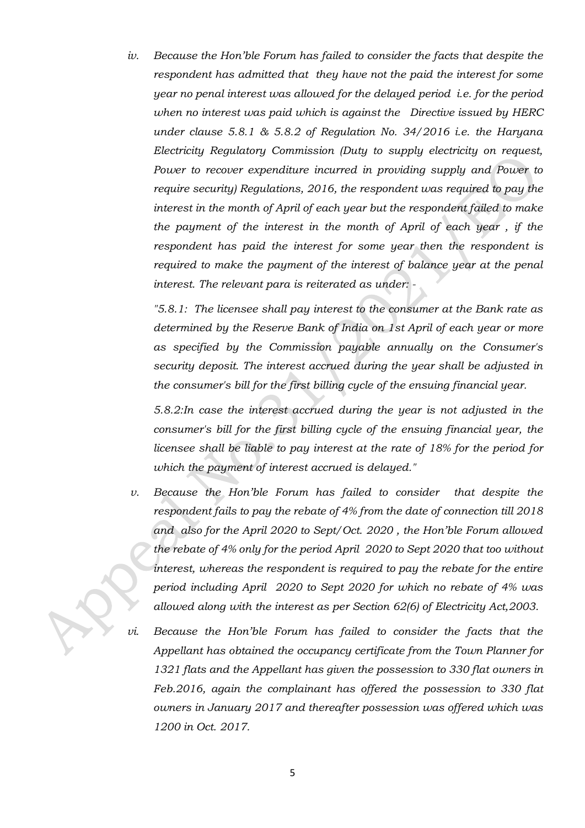*iv. Because the Hon'ble Forum has failed to consider the facts that despite the respondent has admitted that they have not the paid the interest for some year no penal interest was allowed for the delayed period i.e. for the period when no interest was paid which is against the Directive issued by HERC under clause 5.8.1 & 5.8.2 of Regulation No. 34/2016 i.e. the Haryana Electricity Regulatory Commission (Duty to supply electricity on request, Power to recover expenditure incurred in providing supply and Power to require security) Regulations, 2016, the respondent was required to pay the interest in the month of April of each year but the respondent failed to make the payment of the interest in the month of April of each year , if the respondent has paid the interest for some year then the respondent is required to make the payment of the interest of balance year at the penal interest. The relevant para is reiterated as under: -*

*"5.8.1: The licensee shall pay interest to the consumer at the Bank rate as determined by the Reserve Bank of India on 1st April of each year or more as specified by the Commission payable annually on the Consumer's security deposit. The interest accrued during the year shall be adjusted in the consumer's bill for the first billing cycle of the ensuing financial year.*

*5.8.2:In case the interest accrued during the year is not adjusted in the consumer's bill for the first billing cycle of the ensuing financial year, the licensee shall be liable to pay interest at the rate of 18% for the period for which the payment of interest accrued is delayed."*

- *v. Because the Hon'ble Forum has failed to consider that despite the respondent fails to pay the rebate of 4% from the date of connection till 2018 and also for the April 2020 to Sept/Oct. 2020 , the Hon'ble Forum allowed the rebate of 4% only for the period April 2020 to Sept 2020 that too without interest, whereas the respondent is required to pay the rebate for the entire period including April 2020 to Sept 2020 for which no rebate of 4% was allowed along with the interest as per Section 62(6) of Electricity Act,2003.*
- *vi. Because the Hon'ble Forum has failed to consider the facts that the Appellant has obtained the occupancy certificate from the Town Planner for 1321 flats and the Appellant has given the possession to 330 flat owners in Feb.2016, again the complainant has offered the possession to 330 flat owners in January 2017 and thereafter possession was offered which was 1200 in Oct. 2017.*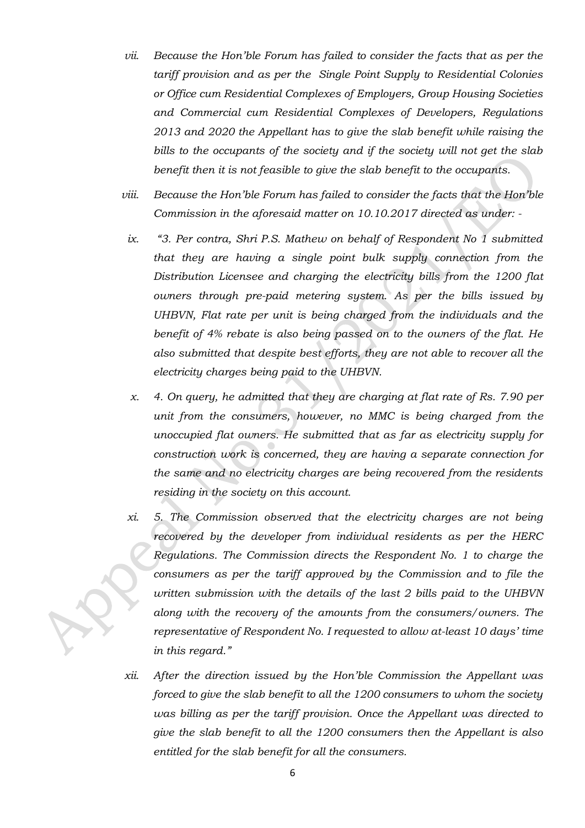- *vii. Because the Hon'ble Forum has failed to consider the facts that as per the tariff provision and as per the Single Point Supply to Residential Colonies or Office cum Residential Complexes of Employers, Group Housing Societies and Commercial cum Residential Complexes of Developers, Regulations 2013 and 2020 the Appellant has to give the slab benefit while raising the bills to the occupants of the society and if the society will not get the slab benefit then it is not feasible to give the slab benefit to the occupants.*
- *viii. Because the Hon'ble Forum has failed to consider the facts that the Hon'ble Commission in the aforesaid matter on 10.10.2017 directed as under: -*
- *ix. "3. Per contra, Shri P.S. Mathew on behalf of Respondent No 1 submitted that they are having a single point bulk supply connection from the Distribution Licensee and charging the electricity bills from the 1200 flat owners through pre-paid metering system. As per the bills issued by UHBVN, Flat rate per unit is being charged from the individuals and the benefit of 4% rebate is also being passed on to the owners of the flat. He also submitted that despite best efforts, they are not able to recover all the electricity charges being paid to the UHBVN.*
- *x. 4. On query, he admitted that they are charging at flat rate of Rs. 7.90 per unit from the consumers, however, no MMC is being charged from the unoccupied flat owners. He submitted that as far as electricity supply for construction work is concerned, they are having a separate connection for the same and no electricity charges are being recovered from the residents residing in the society on this account.*
- *xi. 5. The Commission observed that the electricity charges are not being recovered by the developer from individual residents as per the HERC Regulations. The Commission directs the Respondent No. 1 to charge the consumers as per the tariff approved by the Commission and to file the written submission with the details of the last 2 bills paid to the UHBVN along with the recovery of the amounts from the consumers/owners. The representative of Respondent No. I requested to allow at-least 10 days' time in this regard."*
- *xii. After the direction issued by the Hon'ble Commission the Appellant was forced to give the slab benefit to all the 1200 consumers to whom the society was billing as per the tariff provision. Once the Appellant was directed to give the slab benefit to all the 1200 consumers then the Appellant is also entitled for the slab benefit for all the consumers.*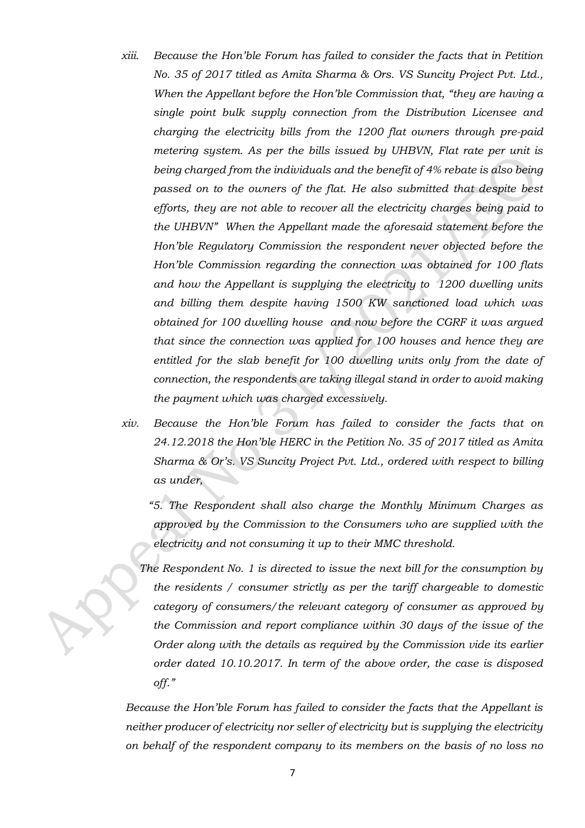- *xiii. Because the Hon'ble Forum has failed to consider the facts that in Petition No. 35 of 2017 titled as Amita Sharma & Ors. VS Suncity Project Pvt. Ltd., When the Appellant before the Hon'ble Commission that, "they are having a single point bulk supply connection from the Distribution Licensee and charging the electricity bills from the 1200 flat owners through pre-paid metering system. As per the bills issued by UHBVN, Flat rate per unit is being charged from the individuals and the benefit of 4% rebate is also being passed on to the owners of the flat. He also submitted that despite best efforts, they are not able to recover all the electricity charges being paid to the UHBVN" When the Appellant made the aforesaid statement before the Hon'ble Regulatory Commission the respondent never objected before the Hon'ble Commission regarding the connection was obtained for 100 flats and how the Appellant is supplying the electricity to 1200 dwelling units and billing them despite having 1500 KW sanctioned load which was obtained for 100 dwelling house and now before the CGRF it was argued that since the connection was applied for 100 houses and hence they are entitled for the slab benefit for 100 dwelling units only from the date of connection, the respondents are taking illegal stand in order to avoid making the payment which was charged excessively.*
- *xiv. Because the Hon'ble Forum has failed to consider the facts that on 24.12.2018 the Hon'ble HERC in the Petition No. 35 of 2017 titled as Amita Sharma & Or's. VS Suncity Project Pvt. Ltd., ordered with respect to billing as under,*

*"5. The Respondent shall also charge the Monthly Minimum Charges as approved by the Commission to the Consumers who are supplied with the electricity and not consuming it up to their MMC threshold.* 

*The Respondent No. 1 is directed to issue the next bill for the consumption by the residents / consumer strictly as per the tariff chargeable to domestic category of consumers/the relevant category of consumer as approved by the Commission and report compliance within 30 days of the issue of the Order along with the details as required by the Commission vide its earlier order dated 10.10.2017. In term of the above order, the case is disposed off."* 

*Because the Hon'ble Forum has failed to consider the facts that the Appellant is neither producer of electricity nor seller of electricity but is supplying the electricity on behalf of the respondent company to its members on the basis of no loss no*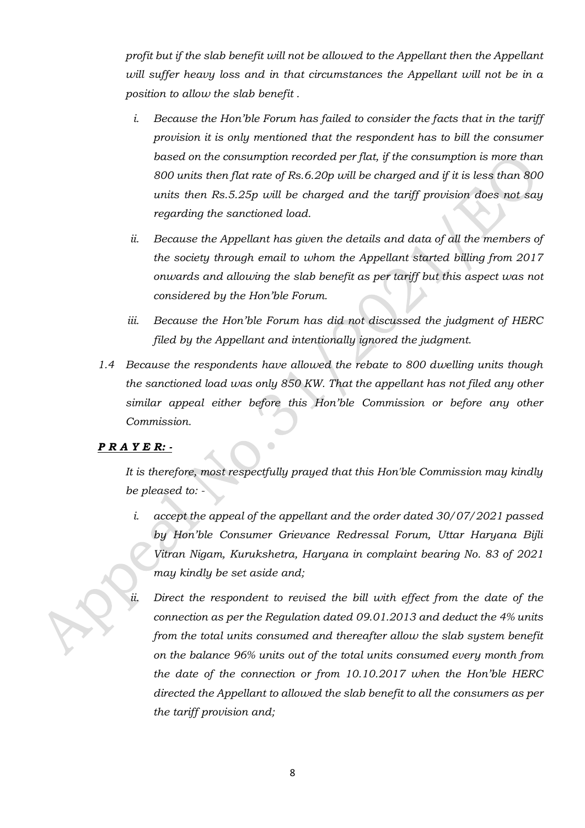*profit but if the slab benefit will not be allowed to the Appellant then the Appellant will suffer heavy loss and in that circumstances the Appellant will not be in a position to allow the slab benefit .* 

- *i. Because the Hon'ble Forum has failed to consider the facts that in the tariff provision it is only mentioned that the respondent has to bill the consumer based on the consumption recorded per flat, if the consumption is more than 800 units then flat rate of Rs.6.20p will be charged and if it is less than 800 units then Rs.5.25p will be charged and the tariff provision does not say regarding the sanctioned load.*
- *ii. Because the Appellant has given the details and data of all the members of the society through email to whom the Appellant started billing from 2017 onwards and allowing the slab benefit as per tariff but this aspect was not considered by the Hon'ble Forum.*
- *iii. Because the Hon'ble Forum has did not discussed the judgment of HERC filed by the Appellant and intentionally ignored the judgment.*
- *1.4 Because the respondents have allowed the rebate to 800 dwelling units though the sanctioned load was only 850 KW. That the appellant has not filed any other similar appeal either before this Hon'ble Commission or before any other Commission.*

## *P R A Y E R: -*

*It is therefore, most respectfully prayed that this Hon'ble Commission may kindly be pleased to: -*

- *i. accept the appeal of the appellant and the order dated 30/07/2021 passed by Hon'ble Consumer Grievance Redressal Forum, Uttar Haryana Bijli Vitran Nigam, Kurukshetra, Haryana in complaint bearing No. 83 of 2021 may kindly be set aside and;*
- *ii. Direct the respondent to revised the bill with effect from the date of the connection as per the Regulation dated 09.01.2013 and deduct the 4% units from the total units consumed and thereafter allow the slab system benefit on the balance 96% units out of the total units consumed every month from the date of the connection or from 10.10.2017 when the Hon'ble HERC directed the Appellant to allowed the slab benefit to all the consumers as per the tariff provision and;*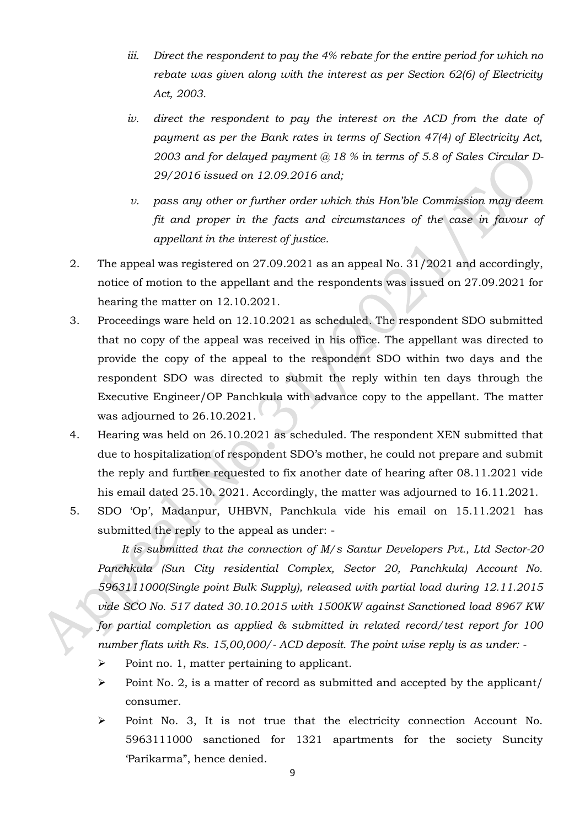- *iii. Direct the respondent to pay the 4% rebate for the entire period for which no rebate was given along with the interest as per Section 62(6) of Electricity Act, 2003.*
- *iv. direct the respondent to pay the interest on the ACD from the date of payment as per the Bank rates in terms of Section 47(4) of Electricity Act, 2003 and for delayed payment @ 18 % in terms of 5.8 of Sales Circular D-29/2016 issued on 12.09.2016 and;*
- *v. pass any other or further order which this Hon'ble Commission may deem fit and proper in the facts and circumstances of the case in favour of appellant in the interest of justice.*
- 2. The appeal was registered on 27.09.2021 as an appeal No. 31/2021 and accordingly, notice of motion to the appellant and the respondents was issued on 27.09.2021 for hearing the matter on 12.10.2021.
- 3. Proceedings ware held on 12.10.2021 as scheduled. The respondent SDO submitted that no copy of the appeal was received in his office. The appellant was directed to provide the copy of the appeal to the respondent SDO within two days and the respondent SDO was directed to submit the reply within ten days through the Executive Engineer/OP Panchkula with advance copy to the appellant. The matter was adjourned to 26.10.2021.
- 4. Hearing was held on 26.10.2021 as scheduled. The respondent XEN submitted that due to hospitalization of respondent SDO's mother, he could not prepare and submit the reply and further requested to fix another date of hearing after 08.11.2021 vide his email dated 25.10. 2021. Accordingly, the matter was adjourned to 16.11.2021.
- 5. SDO 'Op', Madanpur, UHBVN, Panchkula vide his email on 15.11.2021 has submitted the reply to the appeal as under: -

 *It is submitted that the connection of M/s Santur Developers Pvt., Ltd Sector-20 Panchkula (Sun City residential Complex, Sector 20, Panchkula) Account No. 5963111000(Single point Bulk Supply), released with partial load during 12.11.2015 vide SCO No. 517 dated 30.10.2015 with 1500KW against Sanctioned load 8967 KW for partial completion as applied & submitted in related record/test report for 100 number flats with Rs. 15,00,000/- ACD deposit. The point wise reply is as under: -*

- ➢ Point no. 1, matter pertaining to applicant.
- ➢ Point No. 2, is a matter of record as submitted and accepted by the applicant/ consumer.
- ➢ Point No. 3, It is not true that the electricity connection Account No. 5963111000 sanctioned for 1321 apartments for the society Suncity 'Parikarma", hence denied.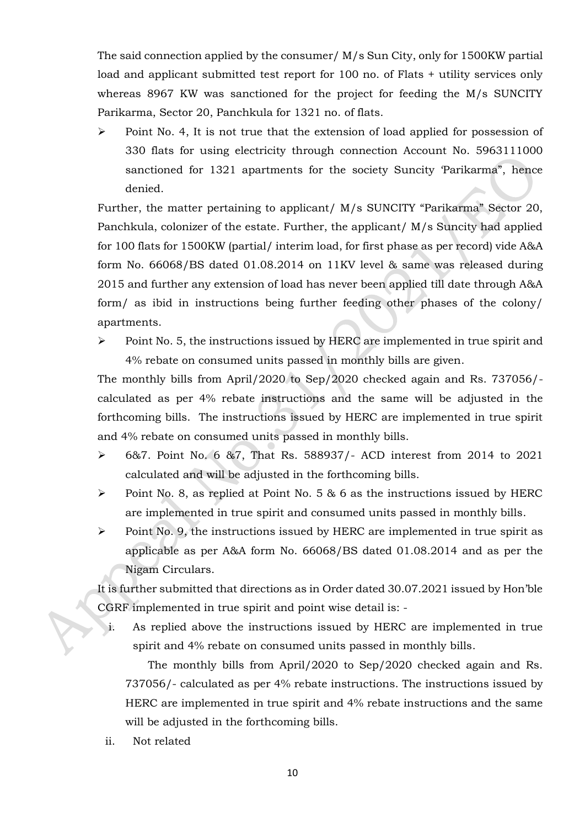The said connection applied by the consumer/ M/s Sun City, only for 1500KW partial load and applicant submitted test report for 100 no. of Flats + utility services only whereas 8967 KW was sanctioned for the project for feeding the M/s SUNCITY Parikarma, Sector 20, Panchkula for 1321 no. of flats.

➢ Point No. 4, It is not true that the extension of load applied for possession of 330 flats for using electricity through connection Account No. 5963111000 sanctioned for 1321 apartments for the society Suncity 'Parikarma", hence denied.

Further, the matter pertaining to applicant/ M/s SUNCITY "Parikarma" Sector 20, Panchkula, colonizer of the estate. Further, the applicant/ M/s Suncity had applied for 100 flats for 1500KW (partial/ interim load, for first phase as per record) vide A&A form No. 66068/BS dated 01.08.2014 on 11KV level & same was released during 2015 and further any extension of load has never been applied till date through A&A form/ as ibid in instructions being further feeding other phases of the colony/ apartments.

➢ Point No. 5, the instructions issued by HERC are implemented in true spirit and 4% rebate on consumed units passed in monthly bills are given.

The monthly bills from April/2020 to Sep/2020 checked again and Rs. 737056/ calculated as per 4% rebate instructions and the same will be adjusted in the forthcoming bills. The instructions issued by HERC are implemented in true spirit and 4% rebate on consumed units passed in monthly bills.

- ➢ 6&7. Point No. 6 &7, That Rs. 588937/- ACD interest from 2014 to 2021 calculated and will be adjusted in the forthcoming bills.
- $\triangleright$  Point No. 8, as replied at Point No. 5 & 6 as the instructions issued by HERC are implemented in true spirit and consumed units passed in monthly bills.
- ➢ Point No. 9, the instructions issued by HERC are implemented in true spirit as applicable as per A&A form No. 66068/BS dated 01.08.2014 and as per the Nigam Circulars.

It is further submitted that directions as in Order dated 30.07.2021 issued by Hon'ble CGRF implemented in true spirit and point wise detail is: -

i. As replied above the instructions issued by HERC are implemented in true spirit and 4% rebate on consumed units passed in monthly bills.

The monthly bills from April/2020 to Sep/2020 checked again and Rs. 737056/- calculated as per 4% rebate instructions. The instructions issued by HERC are implemented in true spirit and 4% rebate instructions and the same will be adjusted in the forthcoming bills.

ii. Not related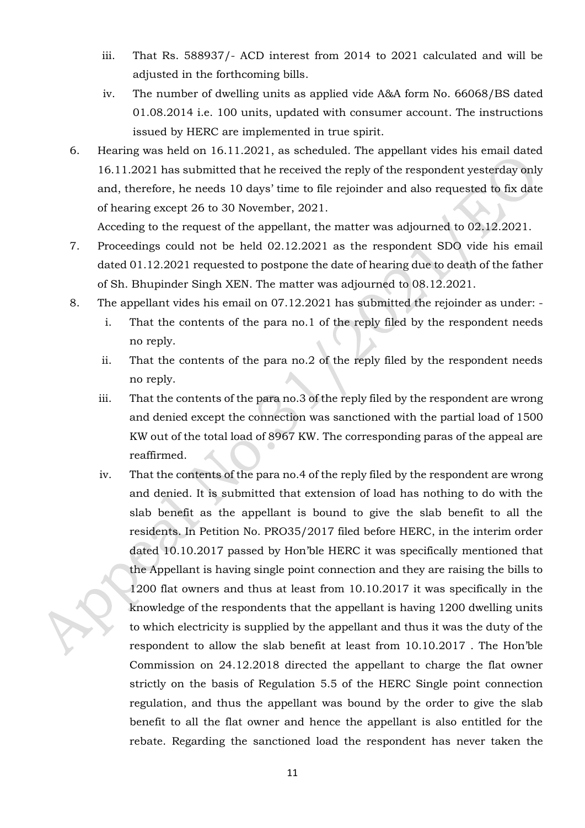- iii. That Rs. 588937/- ACD interest from 2014 to 2021 calculated and will be adjusted in the forthcoming bills.
- iv. The number of dwelling units as applied vide A&A form No. 66068/BS dated 01.08.2014 i.e. 100 units, updated with consumer account. The instructions issued by HERC are implemented in true spirit.
- 6. Hearing was held on 16.11.2021, as scheduled. The appellant vides his email dated 16.11.2021 has submitted that he received the reply of the respondent yesterday only and, therefore, he needs 10 days' time to file rejoinder and also requested to fix date of hearing except 26 to 30 November, 2021.

Acceding to the request of the appellant, the matter was adjourned to 02.12.2021.

- 7. Proceedings could not be held 02.12.2021 as the respondent SDO vide his email dated 01.12.2021 requested to postpone the date of hearing due to death of the father of Sh. Bhupinder Singh XEN. The matter was adjourned to 08.12.2021.
- 8. The appellant vides his email on 07.12.2021 has submitted the rejoinder as under:
	- i. That the contents of the para no.1 of the reply filed by the respondent needs no reply.
	- ii. That the contents of the para no.2 of the reply filed by the respondent needs no reply.
	- iii. That the contents of the para no.3 of the reply filed by the respondent are wrong and denied except the connection was sanctioned with the partial load of 1500 KW out of the total load of 8967 KW. The corresponding paras of the appeal are reaffirmed.
	- iv. That the contents of the para no.4 of the reply filed by the respondent are wrong and denied. It is submitted that extension of load has nothing to do with the slab benefit as the appellant is bound to give the slab benefit to all the residents. In Petition No. PRO35/2017 filed before HERC, in the interim order dated 10.10.2017 passed by Hon'ble HERC it was specifically mentioned that the Appellant is having single point connection and they are raising the bills to 1200 flat owners and thus at least from 10.10.2017 it was specifically in the knowledge of the respondents that the appellant is having 1200 dwelling units to which electricity is supplied by the appellant and thus it was the duty of the respondent to allow the slab benefit at least from 10.10.2017 . The Hon'ble Commission on 24.12.2018 directed the appellant to charge the flat owner strictly on the basis of Regulation 5.5 of the HERC Single point connection regulation, and thus the appellant was bound by the order to give the slab benefit to all the flat owner and hence the appellant is also entitled for the rebate. Regarding the sanctioned load the respondent has never taken the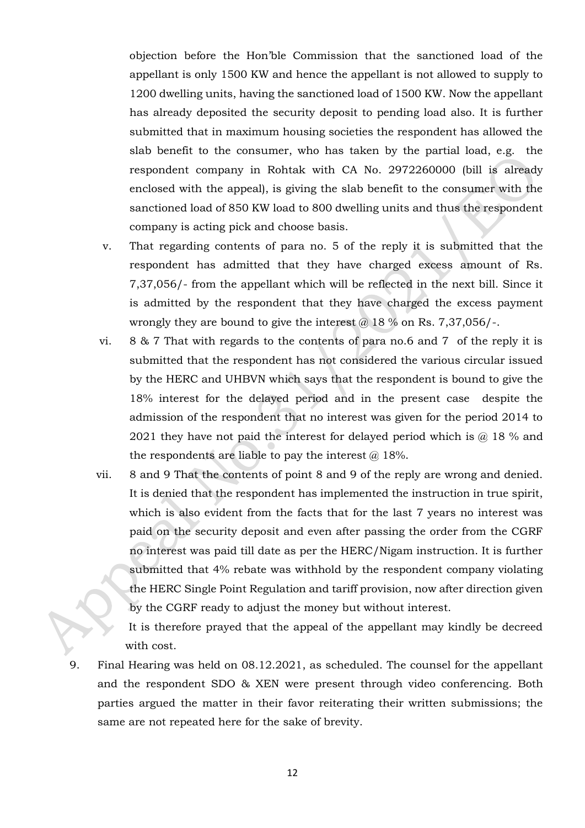objection before the Hon'ble Commission that the sanctioned load of the appellant is only 1500 KW and hence the appellant is not allowed to supply to 1200 dwelling units, having the sanctioned load of 1500 KW. Now the appellant has already deposited the security deposit to pending load also. It is further submitted that in maximum housing societies the respondent has allowed the slab benefit to the consumer, who has taken by the partial load, e.g. the respondent company in Rohtak with CA No. 2972260000 (bill is already enclosed with the appeal), is giving the slab benefit to the consumer with the sanctioned load of 850 KW load to 800 dwelling units and thus the respondent company is acting pick and choose basis.

- v. That regarding contents of para no. 5 of the reply it is submitted that the respondent has admitted that they have charged excess amount of Rs. 7,37,056/- from the appellant which will be reflected in the next bill. Since it is admitted by the respondent that they have charged the excess payment wrongly they are bound to give the interest  $\omega$  18 % on Rs. 7,37,056/-.
- vi. 8 & 7 That with regards to the contents of para no.6 and 7 of the reply it is submitted that the respondent has not considered the various circular issued by the HERC and UHBVN which says that the respondent is bound to give the 18% interest for the delayed period and in the present case despite the admission of the respondent that no interest was given for the period 2014 to 2021 they have not paid the interest for delayed period which is  $@$  18 % and the respondents are liable to pay the interest  $@18\%$ .
- vii. 8 and 9 That the contents of point 8 and 9 of the reply are wrong and denied. It is denied that the respondent has implemented the instruction in true spirit, which is also evident from the facts that for the last 7 years no interest was paid on the security deposit and even after passing the order from the CGRF no interest was paid till date as per the HERC/Nigam instruction. It is further submitted that 4% rebate was withhold by the respondent company violating the HERC Single Point Regulation and tariff provision, now after direction given by the CGRF ready to adjust the money but without interest.

It is therefore prayed that the appeal of the appellant may kindly be decreed with cost.

9. Final Hearing was held on 08.12.2021, as scheduled. The counsel for the appellant and the respondent SDO & XEN were present through video conferencing. Both parties argued the matter in their favor reiterating their written submissions; the same are not repeated here for the sake of brevity.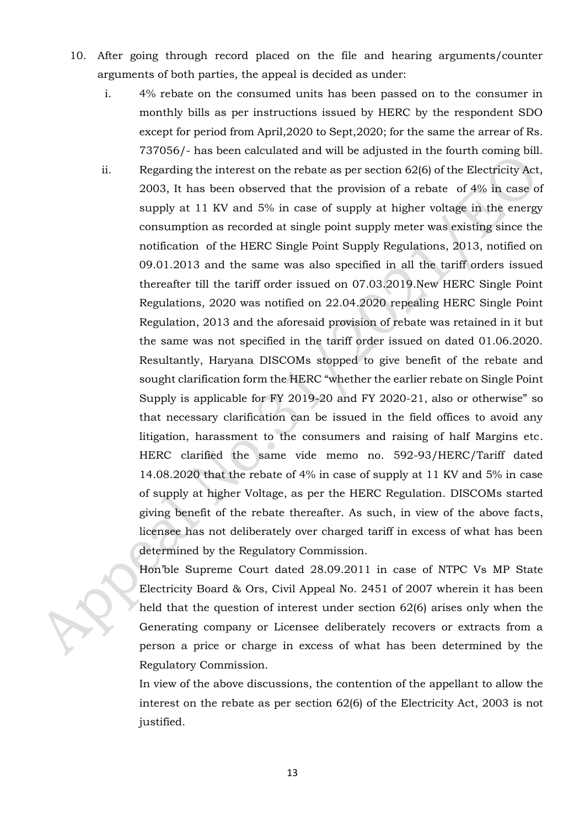- 10. After going through record placed on the file and hearing arguments/counter arguments of both parties, the appeal is decided as under:
	- i. 4% rebate on the consumed units has been passed on to the consumer in monthly bills as per instructions issued by HERC by the respondent SDO except for period from April,2020 to Sept,2020; for the same the arrear of Rs. 737056/- has been calculated and will be adjusted in the fourth coming bill.
	- ii. Regarding the interest on the rebate as per section 62(6) of the Electricity Act, 2003, It has been observed that the provision of a rebate of 4% in case of supply at 11 KV and 5% in case of supply at higher voltage in the energy consumption as recorded at single point supply meter was existing since the notification of the HERC Single Point Supply Regulations, 2013, notified on 09.01.2013 and the same was also specified in all the tariff orders issued thereafter till the tariff order issued on 07.03.2019.New HERC Single Point Regulations, 2020 was notified on 22.04.2020 repealing HERC Single Point Regulation, 2013 and the aforesaid provision of rebate was retained in it but the same was not specified in the tariff order issued on dated 01.06.2020. Resultantly, Haryana DISCOMs stopped to give benefit of the rebate and sought clarification form the HERC "whether the earlier rebate on Single Point Supply is applicable for FY 2019-20 and FY 2020-21, also or otherwise" so that necessary clarification can be issued in the field offices to avoid any litigation, harassment to the consumers and raising of half Margins etc. HERC clarified the same vide memo no. 592-93/HERC/Tariff dated 14.08.2020 that the rebate of 4% in case of supply at 11 KV and 5% in case of supply at higher Voltage, as per the HERC Regulation. DISCOMs started giving benefit of the rebate thereafter. As such, in view of the above facts, licensee has not deliberately over charged tariff in excess of what has been determined by the Regulatory Commission.

Hon'ble Supreme Court dated 28.09.2011 in case of NTPC Vs MP State Electricity Board & Ors, Civil Appeal No. 2451 of 2007 wherein it has been held that the question of interest under section 62(6) arises only when the Generating company or Licensee deliberately recovers or extracts from a person a price or charge in excess of what has been determined by the Regulatory Commission.

In view of the above discussions, the contention of the appellant to allow the interest on the rebate as per section 62(6) of the Electricity Act, 2003 is not justified.